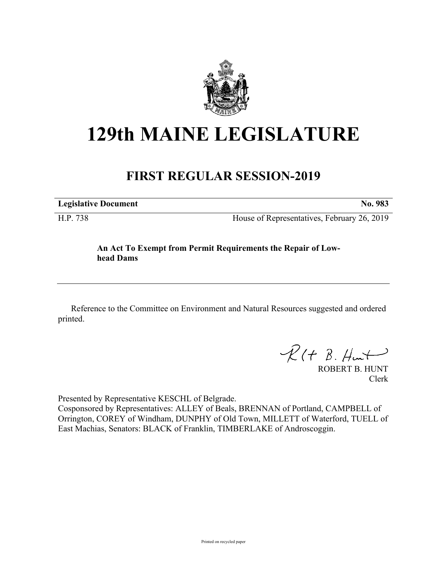

## **129th MAINE LEGISLATURE**

## **FIRST REGULAR SESSION-2019**

**Legislative Document No. 983**

H.P. 738 House of Representatives, February 26, 2019

## **An Act To Exempt from Permit Requirements the Repair of Lowhead Dams**

Reference to the Committee on Environment and Natural Resources suggested and ordered printed.

 $R(H B. H<sub>un</sub>+)$ 

ROBERT B. HUNT Clerk

Presented by Representative KESCHL of Belgrade.

Cosponsored by Representatives: ALLEY of Beals, BRENNAN of Portland, CAMPBELL of Orrington, COREY of Windham, DUNPHY of Old Town, MILLETT of Waterford, TUELL of East Machias, Senators: BLACK of Franklin, TIMBERLAKE of Androscoggin.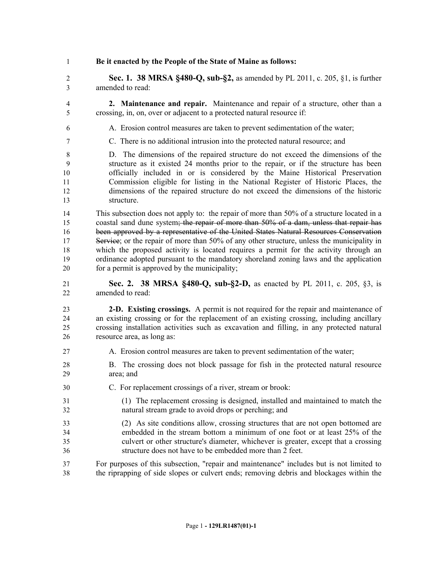**Be it enacted by the People of the State of Maine as follows:**

 **Sec. 1. 38 MRSA §480-Q, sub-§2,** as amended by PL 2011, c. 205, §1, is further amended to read:

- **2. Maintenance and repair.** Maintenance and repair of a structure, other than a crossing, in, on, over or adjacent to a protected natural resource if:
- A. Erosion control measures are taken to prevent sedimentation of the water;
- C. There is no additional intrusion into the protected natural resource; and

 D. The dimensions of the repaired structure do not exceed the dimensions of the structure as it existed 24 months prior to the repair, or if the structure has been officially included in or is considered by the Maine Historical Preservation Commission eligible for listing in the National Register of Historic Places, the dimensions of the repaired structure do not exceed the dimensions of the historic structure.

 This subsection does not apply to: the repair of more than 50% of a structure located in a 15 coastal sand dune system; the repair of more than 50% of a dam, unless that repair has 16 been approved by a representative of the United States Natural Resources Conservation 17 Service; or the repair of more than 50% of any other structure, unless the municipality in which the proposed activity is located requires a permit for the activity through an ordinance adopted pursuant to the mandatory shoreland zoning laws and the application for a permit is approved by the municipality;

 **Sec. 2. 38 MRSA §480-Q, sub-§2-D,** as enacted by PL 2011, c. 205, §3, is amended to read:

 **2-D. Existing crossings.** A permit is not required for the repair and maintenance of an existing crossing or for the replacement of an existing crossing, including ancillary crossing installation activities such as excavation and filling, in any protected natural resource area, as long as:

- A. Erosion control measures are taken to prevent sedimentation of the water;
- B. The crossing does not block passage for fish in the protected natural resource area; and
- C. For replacement crossings of a river, stream or brook:
- (1) The replacement crossing is designed, installed and maintained to match the natural stream grade to avoid drops or perching; and
- (2) As site conditions allow, crossing structures that are not open bottomed are embedded in the stream bottom a minimum of one foot or at least 25% of the culvert or other structure's diameter, whichever is greater, except that a crossing structure does not have to be embedded more than 2 feet.
- For purposes of this subsection, "repair and maintenance" includes but is not limited to the riprapping of side slopes or culvert ends; removing debris and blockages within the